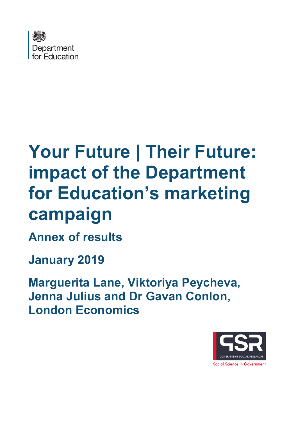

# **Your Future | Their Future: impact of the Department for Education's marketing campaign**

**Annex of results**

**January 2019**

**Marguerita Lane, Viktoriya Peycheva, Jenna Julius and Dr Gavan Conlon, London Economics**

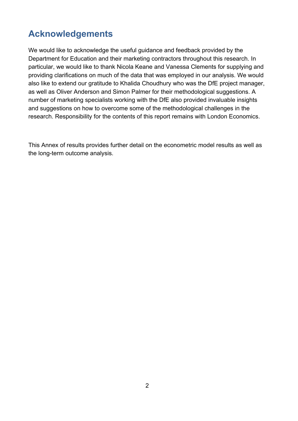# **Acknowledgements**

We would like to acknowledge the useful guidance and feedback provided by the Department for Education and their marketing contractors throughout this research. In particular, we would like to thank Nicola Keane and Vanessa Clements for supplying and providing clarifications on much of the data that was employed in our analysis. We would also like to extend our gratitude to Khalida Choudhury who was the DfE project manager, as well as Oliver Anderson and Simon Palmer for their methodological suggestions. A number of marketing specialists working with the DfE also provided invaluable insights and suggestions on how to overcome some of the methodological challenges in the research. Responsibility for the contents of this report remains with London Economics.

This Annex of results provides further detail on the econometric model results as well as the long-term outcome analysis.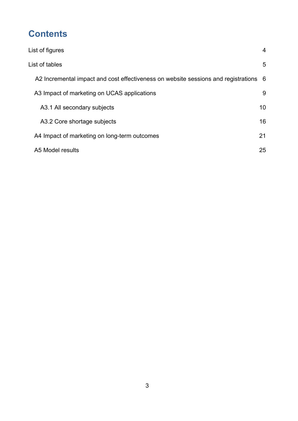# **Contents**

| List of figures                                                                      | $\overline{4}$ |
|--------------------------------------------------------------------------------------|----------------|
| List of tables                                                                       | 5              |
| A2 Incremental impact and cost effectiveness on website sessions and registrations 6 |                |
| A3 Impact of marketing on UCAS applications                                          | 9              |
| A3.1 All secondary subjects                                                          | 10             |
| A3.2 Core shortage subjects                                                          | 16             |
| A4 Impact of marketing on long-term outcomes                                         | 21             |
| A5 Model results                                                                     | 25             |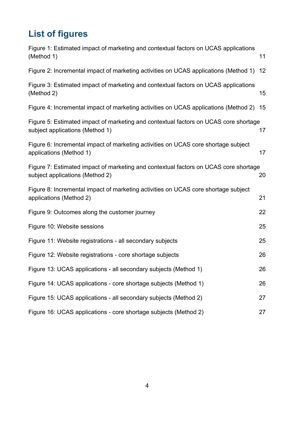# <span id="page-3-0"></span>**List of figures**

| Figure 1: Estimated impact of marketing and contextual factors on UCAS applications<br>(Method 1)                       | 11 |
|-------------------------------------------------------------------------------------------------------------------------|----|
| Figure 2: Incremental impact of marketing activities on UCAS applications (Method 1)                                    | 12 |
| Figure 3: Estimated impact of marketing and contextual factors on UCAS applications<br>(Method 2)                       | 15 |
| Figure 4: Incremental impact of marketing activities on UCAS applications (Method 2)                                    | 15 |
| Figure 5: Estimated impact of marketing and contextual factors on UCAS core shortage<br>subject applications (Method 1) | 17 |
| Figure 6: Incremental impact of marketing activities on UCAS core shortage subject<br>applications (Method 1)           | 17 |
| Figure 7: Estimated impact of marketing and contextual factors on UCAS core shortage<br>subject applications (Method 2) | 20 |
| Figure 8: Incremental impact of marketing activities on UCAS core shortage subject<br>applications (Method 2)           | 21 |
| Figure 9: Outcomes along the customer journey                                                                           | 22 |
| Figure 10: Website sessions                                                                                             | 25 |
| Figure 11: Website registrations - all secondary subjects                                                               | 25 |
| Figure 12: Website registrations - core shortage subjects                                                               | 26 |
| Figure 13: UCAS applications - all secondary subjects (Method 1)                                                        | 26 |
| Figure 14: UCAS applications - core shortage subjects (Method 1)                                                        | 26 |
| Figure 15: UCAS applications - all secondary subjects (Method 2)                                                        | 27 |
| Figure 16: UCAS applications - core shortage subjects (Method 2)                                                        | 27 |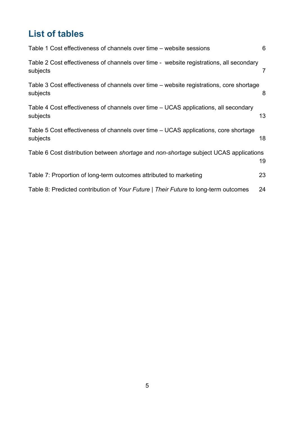# <span id="page-4-0"></span>**List of tables**

| Table 1 Cost effectiveness of channels over time – website sessions                                 | 6  |
|-----------------------------------------------------------------------------------------------------|----|
| Table 2 Cost effectiveness of channels over time - website registrations, all secondary<br>subjects | 7  |
| Table 3 Cost effectiveness of channels over time – website registrations, core shortage<br>subjects | 8  |
| Table 4 Cost effectiveness of channels over time – UCAS applications, all secondary<br>subjects     | 13 |
| Table 5 Cost effectiveness of channels over time – UCAS applications, core shortage<br>subjects     | 18 |
| Table 6 Cost distribution between shortage and non-shortage subject UCAS applications               | 19 |
| Table 7: Proportion of long-term outcomes attributed to marketing                                   | 23 |
| Table 8: Predicted contribution of Your Future   Their Future to long-term outcomes                 | 24 |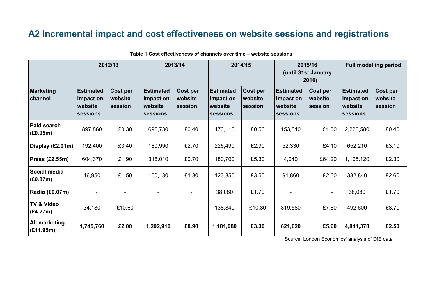# **A2 Incremental impact and cost effectiveness on website sessions and registrations**

<span id="page-5-0"></span>

|                                   | 2012/13                                              |                                | 2013/14                                              |                                | 2014/15                                              |                                | 2015/16<br>(until 31st January<br>2016)              |                                       | <b>Full modelling period</b>                         |                                |
|-----------------------------------|------------------------------------------------------|--------------------------------|------------------------------------------------------|--------------------------------|------------------------------------------------------|--------------------------------|------------------------------------------------------|---------------------------------------|------------------------------------------------------|--------------------------------|
| <b>Marketing</b><br>channel       | <b>Estimated</b><br>impact on<br>website<br>sessions | Cost per<br>website<br>session | <b>Estimated</b><br>impact on<br>website<br>sessions | Cost per<br>website<br>session | <b>Estimated</b><br>impact on<br>website<br>sessions | Cost per<br>website<br>session | <b>Estimated</b><br>impact on<br>website<br>sessions | <b>Cost per</b><br>website<br>session | <b>Estimated</b><br>impact on<br>website<br>sessions | Cost per<br>website<br>session |
| Paid search<br>(E0.95m)           | 897,860                                              | £0.30                          | 695,730                                              | £0.40                          | 473,110                                              | £0.50                          | 153,810                                              | £1.00                                 | 2,220,580                                            | £0.40                          |
| Display (£2.01m)                  | 192,400                                              | £3.40                          | 180,990                                              | £2.70                          | 226,490                                              | £2.90                          | 52,330                                               | £4.10                                 | 652,210                                              | £3.10                          |
| <b>Press (£2.55m)</b>             | 604,370                                              | £1.90                          | 316,010                                              | £0.70                          | 180,700                                              | £5.30                          | 4,040                                                | £64.20                                | 1,105,120                                            | £2.30                          |
| Social media<br>(E0.87m)          | 16,950                                               | £1.50                          | 100,180                                              | £1.80                          | 123,850                                              | £3.50                          | 91,860                                               | £2.60                                 | 332,840                                              | £2.60                          |
| Radio (£0.07m)                    |                                                      |                                |                                                      |                                | 38,080                                               | £1.70                          |                                                      |                                       | 38,080                                               | £1.70                          |
| <b>TV &amp; Video</b><br>(E4.27m) | 34,180                                               | £10.60                         |                                                      |                                | 138,840                                              | £10.30                         | 319,580                                              | £7.80                                 | 492,600                                              | £8.70                          |
| All marketing<br>(E11.95m)        | 1,745,760                                            | £2.00                          | 1,292,910                                            | £0.90                          | 1,181,080                                            | £3.30                          | 621,620                                              | £5.60                                 | 4,841,370                                            | £2.50                          |

<span id="page-5-1"></span> **Table 1 Cost effectiveness of channels over time – website sessions**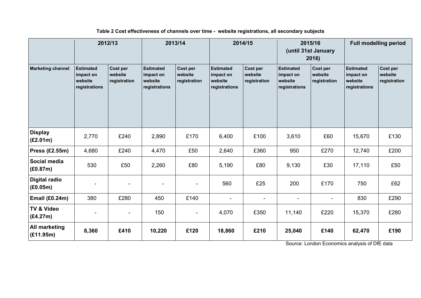<span id="page-6-0"></span>

| 2012/13                           |                                                           | 2013/14                             |                                                           | 2014/15                             |                                                           | 2015/16<br>(until 31st January<br>2016) |                                                           | <b>Full modelling period</b>        |                                                           |                                     |
|-----------------------------------|-----------------------------------------------------------|-------------------------------------|-----------------------------------------------------------|-------------------------------------|-----------------------------------------------------------|-----------------------------------------|-----------------------------------------------------------|-------------------------------------|-----------------------------------------------------------|-------------------------------------|
| <b>Marketing channel</b>          | <b>Estimated</b><br>impact on<br>website<br>registrations | Cost per<br>website<br>registration | <b>Estimated</b><br>impact on<br>website<br>registrations | Cost per<br>website<br>registration | <b>Estimated</b><br>impact on<br>website<br>registrations | Cost per<br>website<br>registration     | <b>Estimated</b><br>impact on<br>website<br>registrations | Cost per<br>website<br>registration | <b>Estimated</b><br>impact on<br>website<br>registrations | Cost per<br>website<br>registration |
| <b>Display</b><br>(E2.01m)        | 2,770                                                     | £240                                | 2,890                                                     | £170                                | 6,400                                                     | £100                                    | 3,610                                                     | £60                                 | 15,670                                                    | £130                                |
| <b>Press (£2.55m)</b>             | 4,680                                                     | £240                                | 4,470                                                     | £50                                 | 2,640                                                     | £360                                    | 950                                                       | £270                                | 12,740                                                    | £200                                |
| Social media<br>(E0.87m)          | 530                                                       | £50                                 | 2,260                                                     | £80                                 | 5,190                                                     | £80                                     | 9,130                                                     | £30                                 | 17,110                                                    | £50                                 |
| Digital radio<br>(E0.05m)         |                                                           |                                     | $\blacksquare$                                            |                                     | 560                                                       | £25                                     | 200                                                       | £170                                | 750                                                       | £62                                 |
| <b>Email (£0.24m)</b>             | 380                                                       | £280                                | 450                                                       | £140                                | $\blacksquare$                                            | $\overline{\phantom{a}}$                |                                                           |                                     | 830                                                       | £290                                |
| <b>TV &amp; Video</b><br>(E4.27m) | $\blacksquare$                                            |                                     | 150                                                       | $\blacksquare$                      | 4,070                                                     | £350                                    | 11,140                                                    | £220                                | 15,370                                                    | £280                                |
| All marketing<br>(E11.95m)        | 8,360                                                     | £410                                | 10,220                                                    | £120                                | 18,860                                                    | £210                                    | 25,040                                                    | £140                                | 62,470                                                    | £190                                |

**Table 2 Cost effectiveness of channels over time - website registrations, all secondary subjects**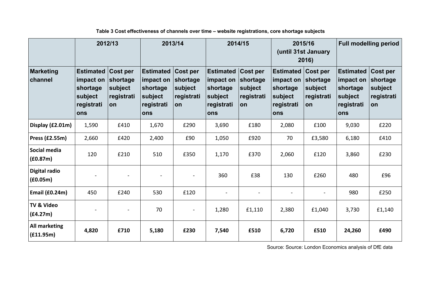<span id="page-7-0"></span>

|                                   |                                                                                    | 2012/13                                 |                                                                                    | 2013/14                                          |                                                                           | 2014/15<br>2015/16<br>(until 31st January<br>2016)         |                                                                                    |                                         | <b>Full modelling period</b>                                                     |                                                     |
|-----------------------------------|------------------------------------------------------------------------------------|-----------------------------------------|------------------------------------------------------------------------------------|--------------------------------------------------|---------------------------------------------------------------------------|------------------------------------------------------------|------------------------------------------------------------------------------------|-----------------------------------------|----------------------------------------------------------------------------------|-----------------------------------------------------|
| <b>Marketing</b><br>channel       | <b>Estimated Cost per</b><br>impact on<br>shortage<br>subject<br>registrati<br>ons | shortage<br>subject<br>registrati<br>on | <b>Estimated Cost per</b><br>impact on<br>shortage<br>subject<br>registrati<br>ons | shortage<br>subject<br> registrati<br><b>lon</b> | <b>Estimated</b><br>impact on<br>shortage<br>subject<br>registrati<br>ons | <b>Cost per</b><br>shortage<br>subject<br>registrati<br>on | <b>Estimated Cost per</b><br>impact on<br>shortage<br>subject<br>registrati<br>ons | shortage<br>subject<br>registrati<br>on | <b>Estimated</b><br>impact on<br>shortage<br>subject<br>registrati<br><b>ons</b> | Cost per<br>shortage<br>subject<br>registrati<br>on |
| Display (£2.01m)                  | 1,590                                                                              | £410                                    | 1,670                                                                              | £290                                             | 3,690                                                                     | £180                                                       | 2,080                                                                              | £100                                    | 9,030                                                                            | £220                                                |
| Press (£2.55m)                    | 2,660                                                                              | £420                                    | 2,400                                                                              | £90                                              | 1,050                                                                     | £920                                                       | 70                                                                                 | £3,580                                  | 6,180                                                                            | £410                                                |
| Social media<br>f(0.87m)          | 120                                                                                | £210                                    | 510                                                                                | £350                                             | 1,170                                                                     | £370                                                       | 2,060                                                                              | £120                                    | 3,860                                                                            | £230                                                |
| Digital radio<br>f(0.05m)         |                                                                                    | $\qquad \qquad$                         |                                                                                    | $\overline{a}$                                   | 360                                                                       | £38                                                        | 130                                                                                | £260                                    | 480                                                                              | £96                                                 |
| <b>Email (£0.24m)</b>             | 450                                                                                | £240                                    | 530                                                                                | £120                                             |                                                                           | $\overline{\phantom{a}}$                                   |                                                                                    |                                         | 980                                                                              | £250                                                |
| <b>TV &amp; Video</b><br>(f4.27m) |                                                                                    | $\overline{\phantom{a}}$                | 70                                                                                 |                                                  | 1,280                                                                     | £1,110                                                     | 2,380                                                                              | £1,040                                  | 3,730                                                                            | £1,140                                              |
| <b>All marketing</b><br>(f11.95m) | 4,820                                                                              | £710                                    | 5,180                                                                              | £230                                             | 7,540                                                                     | £510                                                       | 6,720                                                                              | £510                                    | 24,260                                                                           | £490                                                |

#### **Table 3 Cost effectiveness of channels over time – website registrations, core shortage subjects**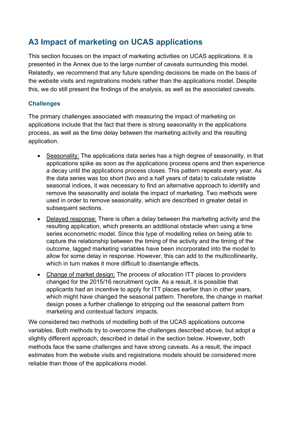# <span id="page-8-0"></span>**A3 Impact of marketing on UCAS applications**

This section focuses on the impact of marketing activities on UCAS applications. It is presented in the Annex due to the large number of caveats surrounding this model. Relatedly, we recommend that any future spending decisions be made on the basis of the website visits and registrations models rather than the applications model. Despite this, we do still present the findings of the analysis, as well as the associated caveats.

#### **Challenges**

The primary challenges associated with measuring the impact of marketing on applications include that the fact that there is strong seasonality in the applications process, as well as the time delay between the marketing activity and the resulting application.

- Seasonality: The applications data series has a high degree of seasonality, in that applications spike as soon as the applications process opens and then experience a decay until the applications process closes. This pattern repeats every year. As the data series was too short (two and a half years of data) to calculate reliable seasonal indices, it was necessary to find an alternative approach to identify and remove the seasonality and isolate the impact of marketing. Two methods were used in order to remove seasonality, which are described in greater detail in subsequent sections.
- Delayed response: There is often a delay between the marketing activity and the resulting application, which presents an additional obstacle when using a time series econometric model. Since this type of modelling relies on being able to capture the relationship between the timing of the activity and the timing of the outcome, lagged marketing variables have been incorporated into the model to allow for some delay in response. However, this can add to the multicollinearity, which in turn makes it more difficult to disentangle effects.
- Change of market design: The process of allocation ITT places to providers changed for the 2015/16 recruitment cycle. As a result, it is possible that applicants had an incentive to apply for ITT places earlier than in other years, which might have changed the seasonal pattern. Therefore, the change in market design poses a further challenge to stripping out the seasonal pattern from marketing and contextual factors' impacts.

We considered two methods of modelling both of the UCAS applications outcome variables. Both methods try to overcome the challenges described above, but adopt a slightly different approach, described in detail in the section below. However, both methods face the same challenges and have strong caveats. As a result, the impact estimates from the website visits and registrations models should be considered more reliable than those of the applications model.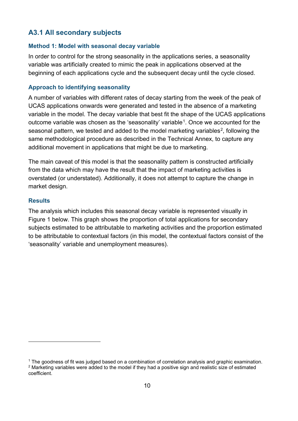### <span id="page-9-0"></span>**A3.1 All secondary subjects**

#### **Method 1: Model with seasonal decay variable**

In order to control for the strong seasonality in the applications series, a seasonality variable was artificially created to mimic the peak in applications observed at the beginning of each applications cycle and the subsequent decay until the cycle closed.

#### **Approach to identifying seasonality**

A number of variables with different rates of decay starting from the week of the peak of UCAS applications onwards were generated and tested in the absence of a marketing variable in the model. The decay variable that best fit the shape of the UCAS applications outcome variable was chosen as the 'seasonality' variable<sup>1</sup>. Once we accounted for the seasonal pattern, we tested and added to the model marketing variables<sup>[2](#page-9-2)</sup>, following the same methodological procedure as described in the Technical Annex, to capture any additional movement in applications that might be due to marketing.

The main caveat of this model is that the seasonality pattern is constructed artificially from the data which may have the result that the impact of marketing activities is overstated (or understated). Additionally, it does not attempt to capture the change in market design.

#### **Results**

 $\overline{a}$ 

The analysis which includes this seasonal decay variable is represented visually in [Figure 1](#page-10-0) below. This graph shows the proportion of total applications for secondary subjects estimated to be attributable to marketing activities and the proportion estimated to be attributable to contextual factors (in this model, the contextual factors consist of the 'seasonality' variable and unemployment measures).

<span id="page-9-2"></span><span id="page-9-1"></span><sup>&</sup>lt;sup>1</sup> The goodness of fit was judged based on a combination of correlation analysis and graphic examination. <sup>2</sup> Marketing variables were added to the model if they had a positive sign and realistic size of estimated coefficient.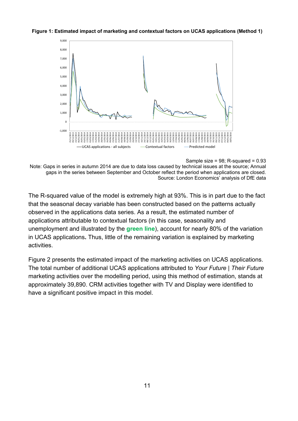#### <span id="page-10-0"></span>**Figure 1: Estimated impact of marketing and contextual factors on UCAS applications (Method 1)**



Sample size =  $98$ ; R-squared =  $0.93$ 

Note: Gaps in series in autumn 2014 are due to data loss caused by technical issues at the source; Annual gaps in the series between September and October reflect the period when applications are closed. Source: London Economics' analysis of DfE data

The R-squared value of the model is extremely high at 93%. This is in part due to the fact that the seasonal decay variable has been constructed based on the patterns actually observed in the applications data series. As a result, the estimated number of applications attributable to contextual factors (in this case, seasonality and unemployment and illustrated by the **green line**), account for nearly 80% of the variation in UCAS applications**.** Thus, little of the remaining variation is explained by marketing activities.

[Figure 2](#page-11-0) presents the estimated impact of the marketing activities on UCAS applications. The total number of additional UCAS applications attributed to *Your Future | Their Future* marketing activities over the modelling period, using this method of estimation, stands at approximately 39,890. CRM activities together with TV and Display were identified to have a significant positive impact in this model.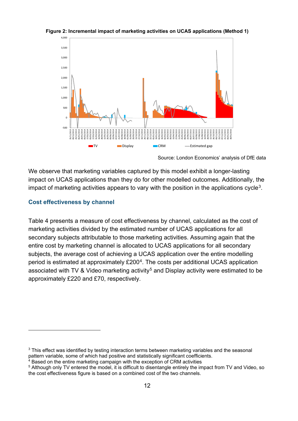

#### <span id="page-11-0"></span>**Figure 2: Incremental impact of marketing activities on UCAS applications (Method 1)**

We observe that marketing variables captured by this model exhibit a longer-lasting impact on UCAS applications than they do for other modelled outcomes. Additionally, the impact of marketing activities appears to vary with the position in the applications cycle<sup>[3](#page-11-2)</sup>.

#### **Cost effectiveness by channel**

<span id="page-11-1"></span> $\overline{a}$ 

[Table 4](#page-11-1) presents a measure of cost effectiveness by channel, calculated as the cost of marketing activities divided by the estimated number of UCAS applications for all secondary subjects attributable to those marketing activities. Assuming again that the entire cost by marketing channel is allocated to UCAS applications for all secondary subjects, the average cost of achieving a UCAS application over the entire modelling period is estimated at approximately £200[4.](#page-11-3) The costs per additional UCAS application associated with TV & Video marketing activity<sup>[5](#page-11-4)</sup> and Display activity were estimated to be approximately £220 and £70, respectively.

Source: London Economics' analysis of DfE data

<span id="page-11-2"></span> $3$  This effect was identified by testing interaction terms between marketing variables and the seasonal pattern variable, some of which had positive and statistically significant coefficients.

<span id="page-11-3"></span> $4$  Based on the entire marketing campaign with the exception of CRM activities

<span id="page-11-4"></span><sup>5</sup> Although only TV entered the model, it is difficult to disentangle entirely the impact from TV and Video, so the cost effectiveness figure is based on a combined cost of the two channels.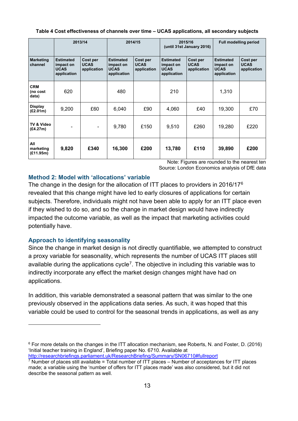#### <span id="page-12-0"></span>**Table 4 Cost effectiveness of channels over time – UCAS applications, all secondary subjects**

|                                 |                                                             | 2013/14                                |                                                             | 2014/15                                | 2015/16<br>(until 31st January 2016)                        |                                        | <b>Full modelling period</b>                                |                                        |
|---------------------------------|-------------------------------------------------------------|----------------------------------------|-------------------------------------------------------------|----------------------------------------|-------------------------------------------------------------|----------------------------------------|-------------------------------------------------------------|----------------------------------------|
| <b>Marketing</b><br>channel     | <b>Estimated</b><br>impact on<br><b>UCAS</b><br>application | Cost per<br><b>UCAS</b><br>application | <b>Estimated</b><br>impact on<br><b>UCAS</b><br>application | Cost per<br><b>UCAS</b><br>application | <b>Estimated</b><br>impact on<br><b>UCAS</b><br>application | Cost per<br><b>UCAS</b><br>application | <b>Estimated</b><br>impact on<br><b>UCAS</b><br>application | Cost per<br><b>UCAS</b><br>application |
| <b>CRM</b><br>(no cost<br>data) | 620                                                         |                                        | 480                                                         |                                        | 210                                                         |                                        | 1,310                                                       |                                        |
| <b>Display</b><br>(E2.01m)      | 9,200                                                       | £60                                    | 6,040                                                       | £90                                    | 4,060                                                       | £40                                    | 19,300                                                      | £70                                    |
| TV & Video<br>(E4.27m)          |                                                             |                                        | 9,780                                                       | £150                                   | 9,510                                                       | £260                                   | 19,280                                                      | £220                                   |
| All<br>marketing<br>(E11.95m)   | 9,820                                                       | £340                                   | 16,300                                                      | £200                                   | 13,780                                                      | £110                                   | 39,890                                                      | £200                                   |

Note: Figures are rounded to the nearest ten Source: London Economics analysis of DfE data

#### **Method 2: Model with 'allocations' variable**

The change in the design for the allocation of ITT places to providers in 2016/17[6](#page-12-1) revealed that this change might have led to early closures of applications for certain subjects. Therefore, individuals might not have been able to apply for an ITT place even if they wished to do so, and so the change in market design would have indirectly impacted the outcome variable, as well as the impact that marketing activities could potentially have.

#### **Approach to identifying seasonality**

 $\overline{a}$ 

Since the change in market design is not directly quantifiable, we attempted to construct a proxy variable for seasonality, which represents the number of UCAS ITT places still available during the applications cycle<sup>[7](#page-12-2)</sup>. The objective in including this variable was to indirectly incorporate any effect the market design changes might have had on applications.

In addition, this variable demonstrated a seasonal pattern that was similar to the one previously observed in the applications data series. As such, it was hoped that this variable could be used to control for the seasonal trends in applications, as well as any

<span id="page-12-1"></span><sup>6</sup> For more details on the changes in the ITT allocation mechanism, see Roberts, N. and Foster, D. (2016) 'Initial teacher training in England', Briefing paper No. 6710. Available at <http://researchbriefings.parliament.uk/ResearchBriefing/Summary/SN06710#fullreport>

<span id="page-12-2"></span> $7$  Number of places still available = Total number of ITT places – Number of acceptances for ITT places made; a variable using the 'number of offers for ITT places made' was also considered, but it did not describe the seasonal pattern as well.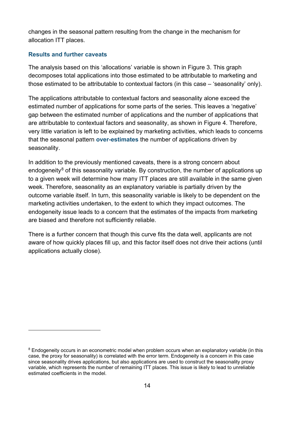changes in the seasonal pattern resulting from the change in the mechanism for allocation ITT places.

#### **Results and further caveats**

 $\overline{a}$ 

The analysis based on this 'allocations' variable is shown in [Figure 3.](#page-14-0) This graph decomposes total applications into those estimated to be attributable to marketing and those estimated to be attributable to contextual factors (in this case – 'seasonality' only).

The applications attributable to contextual factors and seasonality alone exceed the estimated number of applications for some parts of the series. This leaves a 'negative' gap between the estimated number of applications and the number of applications that are attributable to contextual factors and seasonality, as shown in [Figure 4.](#page-14-1) Therefore, very little variation is left to be explained by marketing activities, which leads to concerns that the seasonal pattern **over-estimates** the number of applications driven by seasonality.

In addition to the previously mentioned caveats, there is a strong concern about endogeneity<sup>[8](#page-13-0)</sup> of this seasonality variable. By construction, the number of applications up to a given week will determine how many ITT places are still available in the same given week. Therefore, seasonality as an explanatory variable is partially driven by the outcome variable itself. In turn, this seasonality variable is likely to be dependent on the marketing activities undertaken, to the extent to which they impact outcomes. The endogeneity issue leads to a concern that the estimates of the impacts from marketing are biased and therefore not sufficiently reliable.

There is a further concern that though this curve fits the data well, applicants are not aware of how quickly places fill up, and this factor itself does not drive their actions (until applications actually close).

<span id="page-13-0"></span><sup>&</sup>lt;sup>8</sup> Endogeneity occurs in an econometric model when problem occurs when an explanatory variable (in this case, the proxy for seasonality) is correlated with the error term. Endogeneity is a concern in this case since seasonality drives applications, but also applications are used to construct the seasonality proxy variable, which represents the number of remaining ITT places. This issue is likely to lead to unreliable estimated coefficients in the model.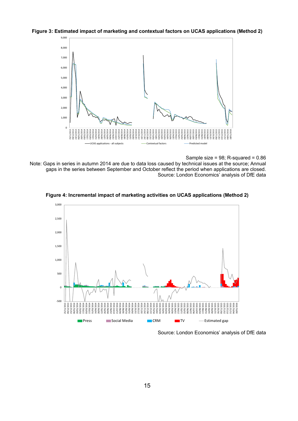<span id="page-14-0"></span>



Sample size =  $98$ ; R-squared =  $0.86$ 

Note: Gaps in series in autumn 2014 are due to data loss caused by technical issues at the source; Annual gaps in the series between September and October reflect the period when applications are closed. Source: London Economics' analysis of DfE data

<span id="page-14-1"></span>



Source: London Economics' analysis of DfE data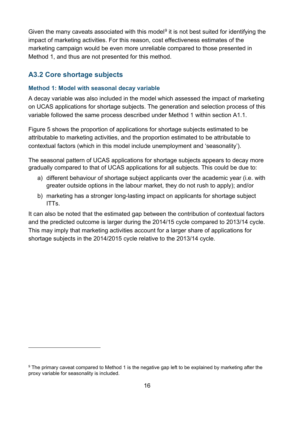Given the many caveats associated with this model<sup>[9](#page-15-1)</sup> it is not best suited for identifying the impact of marketing activities. For this reason, cost effectiveness estimates of the marketing campaign would be even more unreliable compared to those presented in Method 1, and thus are not presented for this method.

#### <span id="page-15-0"></span>**A3.2 Core shortage subjects**

 $\overline{a}$ 

#### **Method 1: Model with seasonal decay variable**

A decay variable was also included in the model which assessed the impact of marketing on UCAS applications for shortage subjects. The generation and selection process of this variable followed the same process described under Method 1 within section A1.1.

[Figure 5](#page-16-0) shows the proportion of applications for shortage subjects estimated to be attributable to marketing activities, and the proportion estimated to be attributable to contextual factors (which in this model include unemployment and 'seasonality').

The seasonal pattern of UCAS applications for shortage subjects appears to decay more gradually compared to that of UCAS applications for all subjects. This could be due to:

- a) different behaviour of shortage subject applicants over the academic year (i.e. with greater outside options in the labour market, they do not rush to apply); and/or
- b) marketing has a stronger long-lasting impact on applicants for shortage subject ITTs.

It can also be noted that the estimated gap between the contribution of contextual factors and the predicted outcome is larger during the 2014/15 cycle compared to 2013/14 cycle. This may imply that marketing activities account for a larger share of applications for shortage subjects in the 2014/2015 cycle relative to the 2013/14 cycle.

<span id="page-15-1"></span><sup>&</sup>lt;sup>9</sup> The primary caveat compared to Method 1 is the negative gap left to be explained by marketing after the proxy variable for seasonality is included.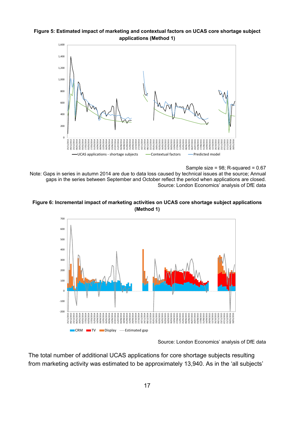<span id="page-16-0"></span>



Sample size =  $98$ ; R-squared =  $0.67$ 

Note: Gaps in series in autumn 2014 are due to data loss caused by technical issues at the source; Annual gaps in the series between September and October reflect the period when applications are closed. Source: London Economics' analysis of DfE data

<span id="page-16-1"></span>



Source: London Economics' analysis of DfE data

The total number of additional UCAS applications for core shortage subjects resulting from marketing activity was estimated to be approximately 13,940. As in the 'all subjects'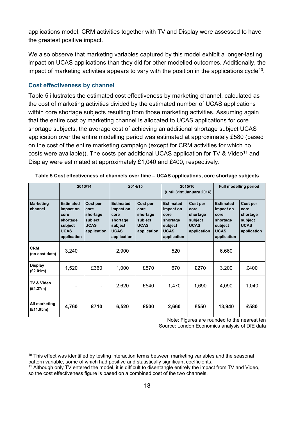applications model, CRM activities together with TV and Display were assessed to have the greatest positive impact.

We also observe that marketing variables captured by this model exhibit a longer-lasting impact on UCAS applications than they did for other modelled outcomes. Additionally, the impact of marketing activities appears to vary with the position in the applications cycle<sup>10</sup>.

#### **Cost effectiveness by channel**

 $\overline{a}$ 

[Table 5](#page-17-0) illustrates the estimated cost effectiveness by marketing channel, calculated as the cost of marketing activities divided by the estimated number of UCAS applications within core shortage subjects resulting from those marketing activities. Assuming again that the entire cost by marketing channel is allocated to UCAS applications for core shortage subjects, the average cost of achieving an additional shortage subject UCAS application over the entire modelling period was estimated at approximately £580 (based on the cost of the entire marketing campaign (except for CRM activities for which no costs were available)). The costs per additional UCAS application for TV & Video<sup>[11](#page-17-2)</sup> and Display were estimated at approximately £1,040 and £400, respectively.

|                                         |                                                                                            | 2013/14                                                               | 2014/15                                                                                    |                                                                       | 2015/16<br>(until 31st January 2016)                                                       |                                                                       | <b>Full modelling period</b>                                                               |                                                                       |
|-----------------------------------------|--------------------------------------------------------------------------------------------|-----------------------------------------------------------------------|--------------------------------------------------------------------------------------------|-----------------------------------------------------------------------|--------------------------------------------------------------------------------------------|-----------------------------------------------------------------------|--------------------------------------------------------------------------------------------|-----------------------------------------------------------------------|
| Marketing<br>channel                    | <b>Estimated</b><br>impact on<br>core<br>shortage<br>subject<br><b>UCAS</b><br>application | Cost per<br>core<br>shortage<br>subject<br><b>UCAS</b><br>application | <b>Estimated</b><br>impact on<br>core<br>shortage<br>subject<br><b>UCAS</b><br>application | Cost per<br>core<br>shortage<br>subject<br><b>UCAS</b><br>application | <b>Estimated</b><br>impact on<br>core<br>shortage<br>subject<br><b>UCAS</b><br>application | Cost per<br>core<br>shortage<br>subject<br><b>UCAS</b><br>application | <b>Estimated</b><br>impact on<br>core<br>shortage<br>subject<br><b>UCAS</b><br>application | Cost per<br>core<br>shortage<br>subject<br><b>UCAS</b><br>application |
| <b>CRM</b><br>(no cost data)            | 3,240                                                                                      |                                                                       | 2,900                                                                                      |                                                                       | 520                                                                                        |                                                                       | 6,660                                                                                      |                                                                       |
| <b>Display</b><br>(E2.01 <sub>m</sub> ) | 1,520                                                                                      | £360                                                                  | 1,000                                                                                      | £570                                                                  | 670                                                                                        | £270                                                                  | 3,200                                                                                      | £400                                                                  |
| TV & Video<br>(E4.27m)                  |                                                                                            |                                                                       | 2,620                                                                                      | £540                                                                  | 1.470                                                                                      | 1,690                                                                 | 4,090                                                                                      | 1,040                                                                 |
| All marketing<br>(E11.95m)              | 4,760                                                                                      | £710                                                                  | 6,520                                                                                      | £500                                                                  | 2,660                                                                                      | £550                                                                  | 13,940                                                                                     | £580                                                                  |

#### <span id="page-17-0"></span>**Table 5 Cost effectiveness of channels over time – UCAS applications, core shortage subjects**

Note: Figures are rounded to the nearest ten Source: London Economics analysis of DfE data

<span id="page-17-1"></span><sup>&</sup>lt;sup>10</sup> This effect was identified by testing interaction terms between marketing variables and the seasonal pattern variable, some of which had positive and statistically significant coefficients.

<span id="page-17-2"></span><sup>&</sup>lt;sup>11</sup> Although only TV entered the model, it is difficult to disentangle entirely the impact from TV and Video, so the cost effectiveness figure is based on a combined cost of the two channels.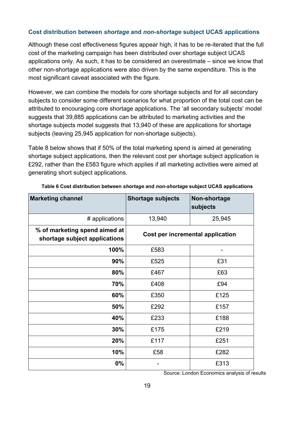#### **Cost distribution between** *shortage* **and** *non-shortage* **subject UCAS applications**

Although these cost effectiveness figures appear high, it has to be re-iterated that the full cost of the marketing campaign has been distributed over shortage subject UCAS applications only. As such, it has to be considered an overestimate – since we know that other non-shortage applications were also driven by the same expenditure. This is the most significant caveat associated with the figure.

However, we can combine the models for core shortage subjects and for all secondary subjects to consider some different scenarios for what proportion of the total cost can be attributed to encouraging core shortage applications. The 'all secondary subjects' model suggests that 39,885 applications can be attributed to marketing activities and the shortage subjects model suggests that 13,940 of these are applications for shortage subjects (leaving 25,945 application for non-shortage subjects).

Table 8 [below](#page-18-0) shows that if 50% of the total marketing spend is aimed at generating shortage subject applications, then the relevant cost per shortage subject application is £292, rather than the £583 figure which applies if all marketing activities were aimed at generating short subject applications.

<span id="page-18-0"></span>

| <b>Marketing channel</b>                                       | <b>Shortage subjects</b>         | Non-shortage<br>subjects |  |  |  |
|----------------------------------------------------------------|----------------------------------|--------------------------|--|--|--|
| # applications                                                 | 13,940                           | 25,945                   |  |  |  |
| % of marketing spend aimed at<br>shortage subject applications | Cost per incremental application |                          |  |  |  |
| 100%                                                           | £583                             |                          |  |  |  |
| 90%                                                            | £525                             | £31                      |  |  |  |
| 80%                                                            | £467                             | £63                      |  |  |  |
| 70%                                                            | £408                             | £94                      |  |  |  |
| 60%                                                            | £350                             | £125                     |  |  |  |
| 50%                                                            | £292                             | £157                     |  |  |  |
| 40%                                                            | £233                             | £188                     |  |  |  |
| 30%                                                            | £175                             | £219                     |  |  |  |
| 20%                                                            | £117                             | £251                     |  |  |  |
| 10%                                                            | £58                              | £282                     |  |  |  |
| 0%                                                             |                                  | £313                     |  |  |  |

**Table 6 Cost distribution between** *shortage* **and** *non-shortage* **subject UCAS applications**

Source: London Economics analysis of results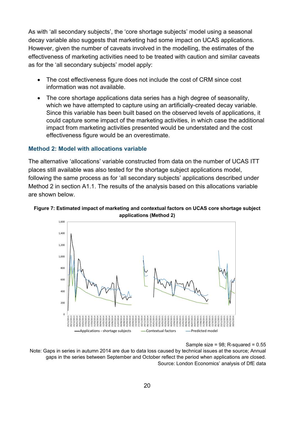As with 'all secondary subjects', the 'core shortage subjects' model using a seasonal decay variable also suggests that marketing had some impact on UCAS applications. However, given the number of caveats involved in the modelling, the estimates of the effectiveness of marketing activities need to be treated with caution and similar caveats as for the 'all secondary subjects' model apply:

- The cost effectiveness figure does not include the cost of CRM since cost information was not available.
- The core shortage applications data series has a high degree of seasonality, which we have attempted to capture using an artificially-created decay variable. Since this variable has been built based on the observed levels of applications, it could capture some impact of the marketing activities, in which case the additional impact from marketing activities presented would be understated and the cost effectiveness figure would be an overestimate.

#### **Method 2: Model with allocations variable**

The alternative 'allocations' variable constructed from data on the number of UCAS ITT places still available was also tested for the shortage subject applications model, following the same process as for 'all secondary subjects' applications described under Method 2 in section A1.1. The results of the analysis based on this allocations variable are shown below.

<span id="page-19-0"></span>



#### Sample size =  $98$ ; R-squared =  $0.55$

Note: Gaps in series in autumn 2014 are due to data loss caused by technical issues at the source; Annual gaps in the series between September and October reflect the period when applications are closed. Source: London Economics' analysis of DfE data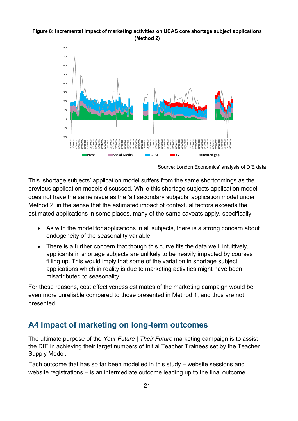#### <span id="page-20-1"></span>**Figure 8: Incremental impact of marketing activities on UCAS core shortage subject applications (Method 2)**



Source: London Economics' analysis of DfE data

This 'shortage subjects' application model suffers from the same shortcomings as the previous application models discussed. While this shortage subjects application model does not have the same issue as the 'all secondary subjects' application model under Method 2, in the sense that the estimated impact of contextual factors exceeds the estimated applications in some places, many of the same caveats apply, specifically:

- As with the model for applications in all subiects, there is a strong concern about endogeneity of the seasonality variable.
- There is a further concern that though this curve fits the data well, intuitively, applicants in shortage subjects are unlikely to be heavily impacted by courses filling up. This would imply that some of the variation in shortage subject applications which in reality is due to marketing activities might have been misattributed to seasonality.

For these reasons, cost effectiveness estimates of the marketing campaign would be even more unreliable compared to those presented in Method 1, and thus are not presented.

# <span id="page-20-0"></span>**A4 Impact of marketing on long-term outcomes**

The ultimate purpose of the *Your Future | Their Future* marketing campaign is to assist the DfE in achieving their target numbers of Initial Teacher Trainees set by the Teacher Supply Model.

Each outcome that has so far been modelled in this study – website sessions and website registrations – is an intermediate outcome leading up to the final outcome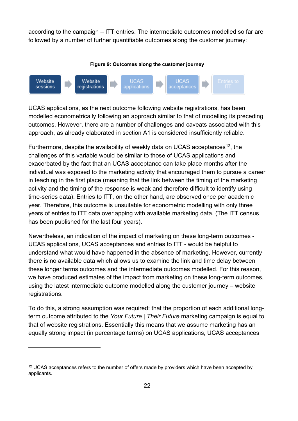according to the campaign – ITT entries. The intermediate outcomes modelled so far are followed by a number of further quantifiable outcomes along the customer journey:

<span id="page-21-0"></span>

UCAS applications, as the next outcome following website registrations, has been modelled econometrically following an approach similar to that of modelling its preceding outcomes. However, there are a number of challenges and caveats associated with this approach, as already elaborated in section A1 is considered insufficiently reliable.

Furthermore, despite the availability of weekly data on UCAS acceptances<sup>[12](#page-21-1)</sup>, the challenges of this variable would be similar to those of UCAS applications and exacerbated by the fact that an UCAS acceptance can take place months after the individual was exposed to the marketing activity that encouraged them to pursue a career in teaching in the first place (meaning that the link between the timing of the marketing activity and the timing of the response is weak and therefore difficult to identify using time-series data). Entries to ITT, on the other hand, are observed once per academic year. Therefore, this outcome is unsuitable for econometric modelling with only three years of entries to ITT data overlapping with available marketing data. (The ITT census has been published for the last four years).

Nevertheless, an indication of the impact of marketing on these long-term outcomes - UCAS applications, UCAS acceptances and entries to ITT - would be helpful to understand what would have happened in the absence of marketing. However, currently there is no available data which allows us to examine the link and time delay between these longer terms outcomes and the intermediate outcomes modelled. For this reason, we have produced estimates of the impact from marketing on these long-term outcomes, using the latest intermediate outcome modelled along the customer journey – website registrations.

To do this, a strong assumption was required: that the proportion of each additional longterm outcome attributed to the *Your Future | Their Future* marketing campaign is equal to that of website registrations. Essentially this means that we assume marketing has an equally strong impact (in percentage terms) on UCAS applications, UCAS acceptances

 $\overline{a}$ 

<span id="page-21-1"></span> $12$  UCAS acceptances refers to the number of offers made by providers which have been accepted by applicants.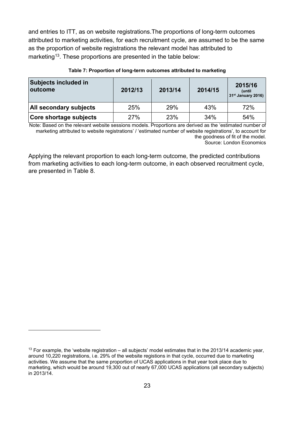and entries to ITT, as on website registrations.The proportions of long-term outcomes attributed to marketing activities, for each recruitment cycle, are assumed to be the same as the proportion of website registrations the relevant model has attributed to marketing<sup>13</sup>. These proportions are presented in the table below:

<span id="page-22-0"></span>

| <b>Subjects included in</b><br><b>loutcome</b> | 2012/13 | 2013/14 | 2014/15 | 2015/16<br>(until<br>$31st$ January 2016) |  |
|------------------------------------------------|---------|---------|---------|-------------------------------------------|--|
| <b>All secondary subjects</b>                  | 25%     | 29%     | 43%     | 72%                                       |  |
| <b>Core shortage subjects</b>                  | 27%     | 23%     | 34%     | 54%                                       |  |

#### **Table 7: Proportion of long-term outcomes attributed to marketing**

Note: Based on the relevant website sessions models. Proportions are derived as the 'estimated number of marketing attributed to website registrations' / 'estimated number of website registrations', to account for the goodness of fit of the model.

Source: London Economics

Applying the relevant proportion to each long-term outcome, the predicted contributions from marketing activities to each long-term outcome, in each observed recruitment cycle, are presented in [Table 8.](#page-23-0)

 $\overline{a}$ 

<span id="page-22-1"></span> $13$  For example, the 'website registration – all subjects' model estimates that in the 2013/14 academic year, around 10,220 registrations, i.e. 29% of the website registions in that cycle, occurred due to marketing activities. We assume that the same proportion of UCAS applications in that year took place due to marketing, which would be around 19,300 out of nearly 67,000 UCAS applications (all secondary subjects) in 2013/14.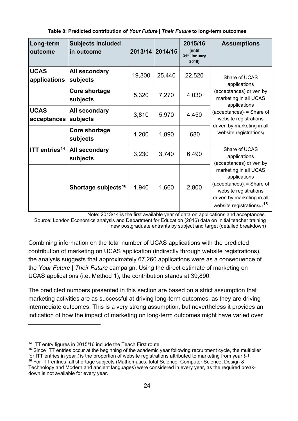<span id="page-23-0"></span>

| Long-term<br>outcome        | <b>Subjects included</b><br>in outcome |        | 2013/14 2014/15 | 2015/16<br>(until<br>31 <sup>st</sup> January<br>2016) | <b>Assumptions</b>                                                                                                                                                           |
|-----------------------------|----------------------------------------|--------|-----------------|--------------------------------------------------------|------------------------------------------------------------------------------------------------------------------------------------------------------------------------------|
| <b>UCAS</b><br>applications | All secondary<br>subjects              | 19,300 | 25,440          | 22,520                                                 | Share of UCAS<br>applications                                                                                                                                                |
|                             | Core shortage<br>subjects              | 5,320  | 7,270           | 4,030                                                  | (acceptances) driven by<br>marketing in all UCAS<br>applications                                                                                                             |
| <b>UCAS</b><br>acceptances  | All secondary<br>subjects              | 3,810  | 5,970           | 4,450                                                  | (acceptances) $t =$ Share of<br>website registrations                                                                                                                        |
|                             | Core shortage<br>subjects              | 1,200  | 1,890           | 680                                                    | driven by marketing in all<br>website registrationst                                                                                                                         |
| ITT entries <sup>14</sup>   | All secondary<br>subjects              | 3,230  | 3,740           | 6,490                                                  | Share of UCAS<br>applications<br>(acceptances) driven by                                                                                                                     |
|                             | Shortage subjects <sup>16</sup>        | 1,940  | 1,660           | 2,800                                                  | marketing in all UCAS<br>applications<br>(acceptances) $t =$ Share of<br>website registrations<br>driven by marketing in all<br>website registrations $t_{-1}$ <sup>15</sup> |

Note: 2013/14 is the first available year of data on applications and acceptances. Source: London Economics analysis and Department for Education (2016) data on Initial teacher training new postgraduate entrants by subject and target (detailed breakdown)

Combining information on the total number of UCAS applications with the predicted contribution of marketing on UCAS application (indirectly through website registrations), the analysis suggests that approximately 67,260 applications were as a consequence of the *Your Future | Their Future* campaign. Using the direct estimate of marketing on UCAS applications (i.e. Method 1), the contribution stands at 39,890.

The predicted numbers presented in this section are based on a strict assumption that marketing activities are as successful at driving long-term outcomes, as they are driving intermediate outcomes. This is a very strong assumption, but nevertheless it provides an indication of how the impact of marketing on long-term outcomes might have varied over

 $\overline{a}$ 

<span id="page-23-1"></span><sup>14</sup> ITT entry figures in 2015/16 include the Teach First route.

<span id="page-23-3"></span><span id="page-23-2"></span> $15$  Since ITT entries occur at the beginning of the academic year following recruitment cycle, the multiplier for ITT entries in year *t* is the proportion of website registrations attributed to marketing from year *t-1.* <sup>16</sup> For ITT entries, all shortage subjects (Mathematics, total Science, Computer Science, Design & Technology and Modern and ancient languages) were considered in every year, as the required breakdown is not available for every year.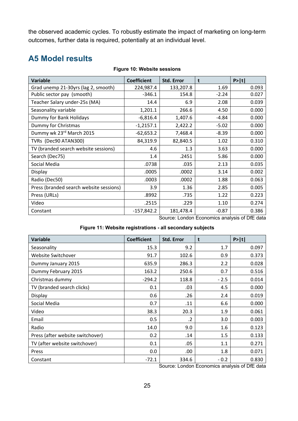the observed academic cycles. To robustly estimate the impact of marketing on long-term outcomes, further data is required, potentially at an individual level.

# <span id="page-24-0"></span>**A5 Model results**

<span id="page-24-1"></span>

| <b>Variable</b>                         | <b>Coefficient</b> | <b>Std. Error</b> | t       | P >  t |
|-----------------------------------------|--------------------|-------------------|---------|--------|
| Grad unemp 21-30yrs (lag 2, smooth)     | 224,987.4          | 133,207.8         | 1.69    | 0.093  |
| Public sector pay (smooth)              | $-346.1$           | 154.8             | $-2.24$ | 0.027  |
| Teacher Salary under-25s (MA)           | 14.4               | 6.9               | 2.08    | 0.039  |
| Seasonality variable                    | 1,201.1            | 266.6             | 4.50    | 0.000  |
| Dummy for Bank Holidays                 | $-6,816.4$         | 1,407.6           | -4.84   | 0.000  |
| Dummy for Christmas                     | $-1,2157.1$        | 2,422.2           | $-5.02$ | 0.000  |
| Dummy wk 23rd March 2015                | $-62,653.2$        | 7,468.4           | $-8.39$ | 0.000  |
| TVRs (Dec90 ATAN300)                    | 84,319.9           | 82,840.5          | 1.02    | 0.310  |
| TV (branded search website sessions)    | 4.6                | 1.3               | 3.63    | 0.000  |
| Search (Dec75)                          | 1.4                | .2451             | 5.86    | 0.000  |
| Social Media                            | .0738              | .035              | 2.13    | 0.035  |
| Display                                 | .0005              | .0002             | 3.14    | 0.002  |
| Radio (Dec50)                           | .0003              | .0002             | 1.88    | 0.063  |
| Press (branded search website sessions) | 3.9                | 1.36              | 2.85    | 0.005  |
| Press (URLs)                            | .8992              | .735              | 1.22    | 0.223  |
| Video                                   | .2515              | .229              | 1.10    | 0.274  |
| Constant                                | $-157,842.2$       | 181,478.4         | $-0.87$ | 0.386  |

#### **Figure 10: Website sessions**

Source: London Economics analysis of DfE data

#### **Figure 11: Website registrations - all secondary subjects**

<span id="page-24-2"></span>

| <b>Variable</b>                  | <b>Coefficient</b> | <b>Std. Error</b> | t      | P> t  |
|----------------------------------|--------------------|-------------------|--------|-------|
| Seasonality                      | 15.3               | 9.2               | 1.7    | 0.097 |
| Website Switchover               | 91.7               | 102.6             | 0.9    | 0.373 |
| Dummy January 2015               | 635.9              | 286.3             | 2.2    | 0.028 |
| Dummy February 2015              | 163.2              | 250.6             | 0.7    | 0.516 |
| Christmas dummy                  | $-294.2$           | 118.8             | $-2.5$ | 0.014 |
| TV (branded search clicks)       | 0.1                | .03               | 4.5    | 0.000 |
| Display                          | 0.6                | .26               | 2.4    | 0.019 |
| Social Media                     | 0.7                | .11               | 6.6    | 0.000 |
| Video                            | 38.3               | 20.3              | 1.9    | 0.061 |
| Email                            | 0.5                | $\cdot$           | 3.0    | 0.003 |
| Radio                            | 14.0               | 9.0               | 1.6    | 0.123 |
| Press (after website switchover) | 0.2                | .14               | 1.5    | 0.133 |
| TV (after website switchover)    | 0.1                | .05               | 1.1    | 0.271 |
| Press                            | 0.0                | .00               | 1.8    | 0.071 |
| Constant                         | $-72.1$            | 334.6             | $-0.2$ | 0.830 |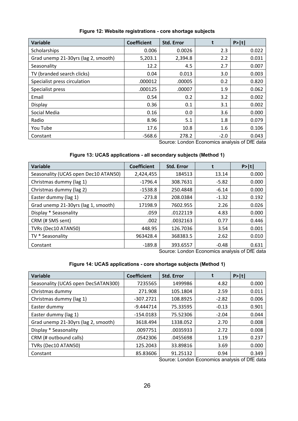<span id="page-25-0"></span>

| <b>Variable</b>                     | <b>Coefficient</b> | <b>Std. Error</b> |        | P> t  |
|-------------------------------------|--------------------|-------------------|--------|-------|
| Scholarships                        | 0.006              | 0.0026            | 2.3    | 0.022 |
| Grad unemp 21-30yrs (lag 2, smooth) | 5,203.1            | 2,394.8           | 2.2    | 0.031 |
| Seasonality                         | 12.2               | 4.5               | 2.7    | 0.007 |
| TV (branded search clicks)          | 0.04               | 0.013             | 3.0    | 0.003 |
| Specialist press circulation        | .000012            | .00005            | 0.2    | 0.820 |
| Specialist press                    | .000125            | .00007            | 1.9    | 0.062 |
| Email                               | 0.54               | 0.2               | 3.2    | 0.002 |
| Display                             | 0.36               | 0.1               | 3.1    | 0.002 |
| Social Media                        | 0.16               | 0.0               | 3.6    | 0.000 |
| Radio                               | 8.96               | 5.1               | 1.8    | 0.079 |
| You Tube                            | 17.6               | 10.8              | 1.6    | 0.106 |
| Constant                            | $-568.6$           | 278.2             | $-2.0$ | 0.043 |

#### **Figure 12: Website registrations - core shortage subjects**

Source: London Economics analysis of DfE data

#### **Figure 13: UCAS applications - all secondary subjects (Method 1)**

<span id="page-25-1"></span>

| <b>Variable</b>                      | <b>Coefficient</b> | <b>Std. Error</b>                                                                                               |         | P> t                                    |
|--------------------------------------|--------------------|-----------------------------------------------------------------------------------------------------------------|---------|-----------------------------------------|
| Seasonality (UCAS open Dec10 ATAN50) | 2,424,455          | 184513                                                                                                          | 13.14   | 0.000                                   |
| Christmas dummy (lag 1)              | $-1796.4$          | 308.7631                                                                                                        | $-5.82$ | 0.000                                   |
| Christmas dummy (lag 2)              | $-1538.8$          | 250.4848                                                                                                        | $-6.14$ | 0.000                                   |
| Easter dummy (lag 1)                 | $-273.8$           | 208.0384                                                                                                        | $-1.32$ | 0.192                                   |
| Grad unemp 21-30yrs (lag 1, smooth)  | 17198.9            | 7602.955                                                                                                        | 2.26    | 0.026                                   |
| Display * Seasonality                | .059               | .0122119                                                                                                        | 4.83    | 0.000                                   |
| CRM (# SMS sent)                     | .002               | .0032163                                                                                                        | 0.77    | 0.446                                   |
| TVRs (Dec10 ATAN50)                  | 448.95             | 126.7036                                                                                                        | 3.54    | 0.001                                   |
| TV * Seasonality                     | 963428.4           | 368383.5                                                                                                        | 2.62    | 0.010                                   |
| Constant                             | $-189.8$           | 393.6557<br>$O_{\text{c},\text{c}}$ and $I_{\text{c}}$ and $I_{\text{c}}$ and $I_{\text{c}}$ and $I_{\text{c}}$ | $-0.48$ | 0.631<br>spectra constructs of DfF det. |

Source: London Economics analysis of DfE data

#### **Figure 14: UCAS applications - core shortage subjects (Method 1)**

<span id="page-25-2"></span>

| <b>Variable</b>                     | <b>Coefficient</b> | <b>Std. Error</b> |         | P> t  |
|-------------------------------------|--------------------|-------------------|---------|-------|
| Seasonality (UCAS open Dec5ATAN300) | 7235565            | 1499986           | 4.82    | 0.000 |
| Christmas dummy                     | 271.908            | 105.1804          | 2.59    | 0.011 |
| Christmas dummy (lag 1)             | $-307.2721$        | 108.8925          | $-2.82$ | 0.006 |
| Easter dummy                        | $-9.444714$        | 75.33595          | $-0.13$ | 0.901 |
| Easter dummy (lag 1)                | $-154.0183$        | 75.52306          | $-2.04$ | 0.044 |
| Grad unemp 21-30yrs (lag 2, smooth) | 3618.494           | 1338.052          | 2.70    | 0.008 |
| Display * Seasonality               | .0097751           | .0035933          | 2.72    | 0.008 |
| CRM (# outbound calls)              | .0542306           | .0455698          | 1.19    | 0.237 |
| TVRs (Dec10 ATAN50)                 | 125.2043           | 33.89816          | 3.69    | 0.000 |
| Constant                            | 85.83606           | 91.25132          | 0.94    | 0.349 |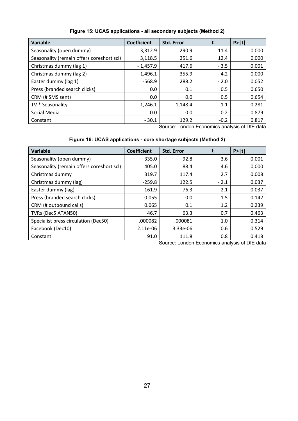<span id="page-26-0"></span>

| <b>Variable</b>                           | <b>Coefficient</b> | <b>Std. Error</b> |        | P> t  |
|-------------------------------------------|--------------------|-------------------|--------|-------|
| Seasonality (open dummy)                  | 3,312.9            | 290.9             | 11.4   | 0.000 |
| Seasonality (remain offers coreshort scl) | 3,118.5            | 251.6             | 12.4   | 0.000 |
| Christmas dummy (lag 1)                   | $-1,457.9$         | 417.6             | $-3.5$ | 0.001 |
| Christmas dummy (lag 2)                   | $-1,496.1$         | 355.9             | $-4.2$ | 0.000 |
| Easter dummy (lag 1)                      | $-568.9$           | 288.2             | $-2.0$ | 0.052 |
| Press (branded search clicks)             | 0.0                | 0.1               | 0.5    | 0.650 |
| CRM (# SMS sent)                          | 0.0                | 0.0               | 0.5    | 0.654 |
| TV * Seasonality                          | 1,246.1            | 1,148.4           | 1.1    | 0.281 |
| Social Media                              | 0.0                | 0.0               | 0.2    | 0.879 |
| Constant                                  | $-30.1$            | 129.2             | $-0.2$ | 0.817 |

#### **Figure 15: UCAS applications - all secondary subjects (Method 2)**

Source: London Economics analysis of DfE data

#### **Figure 16: UCAS applications - core shortage subjects (Method 2)**

<span id="page-26-1"></span>

| <b>Variable</b>                           | <b>Coefficient</b> | <b>Std. Error</b> |        | P> t  |
|-------------------------------------------|--------------------|-------------------|--------|-------|
| Seasonality (open dummy)                  | 335.0              | 92.8              | 3.6    | 0.001 |
| Seasonality (remain offers coreshort scl) | 405.0              | 88.4              | 4.6    | 0.000 |
| Christmas dummy                           | 319.7              | 117.4             | 2.7    | 0.008 |
| Christmas dummy (lag)                     | $-259.8$           | 122.5             | $-2.1$ | 0.037 |
| Easter dummy (lag)                        | $-161.9$           | 76.3              | $-2.1$ | 0.037 |
| Press (branded search clicks)             | 0.055              | 0.0               | 1.5    | 0.142 |
| CRM (# outbound calls)                    | 0.065              | 0.1               | 1.2    | 0.239 |
| TVRs (Dec5 ATAN50)                        | 46.7               | 63.3              | 0.7    | 0.463 |
| Specialist press circulation (Dec50)      | .000082            | .000081           | 1.0    | 0.314 |
| Facebook (Dec10)                          | 2.11e-06           | 3.33e-06          | 0.6    | 0.529 |
| Constant                                  | 91.0               | 111.8             | 0.8    | 0.418 |